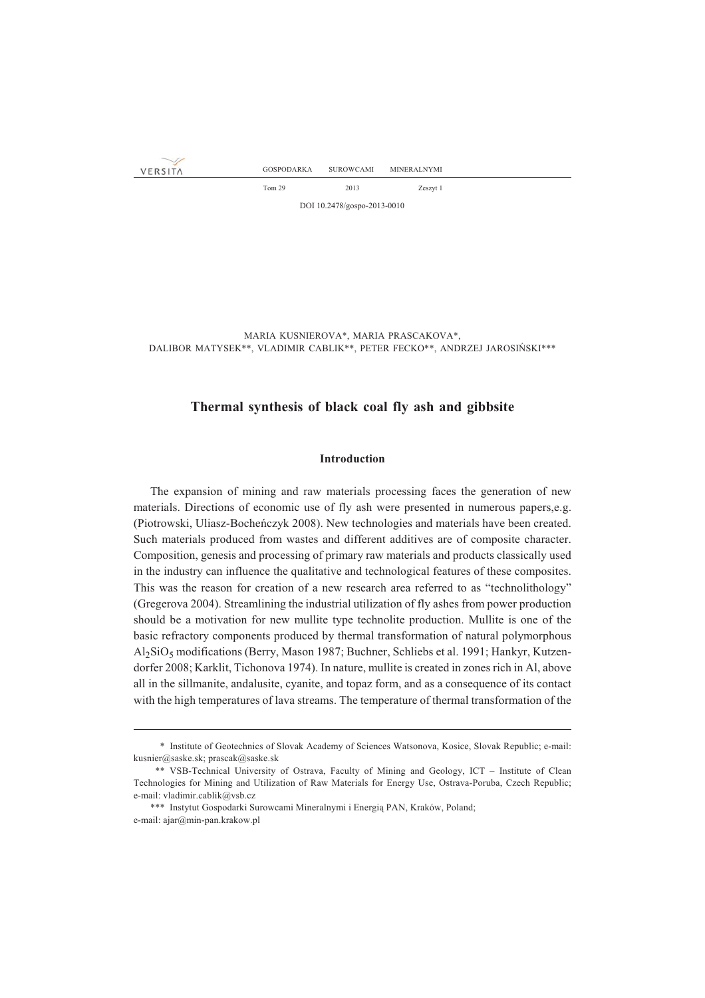VERSITA

Tom 29 2013 Zeszyt 1

DOI 10.2478/gospo-2013-0010

MARIA KUSNIEROVA\*, MARIA PRASCAKOVA\*, DALIBOR MATYSEK\*\*, VLADIMIR CABLIK\*\*, PETER FECKO\*\*, ANDRZEJ JAROSIÑSKI\*\*\*

# **Thermal synthesis of black coal fly ash and gibbsite**

## **Introduction**

The expansion of mining and raw materials processing faces the generation of new materials. Directions of economic use of fly ash were presented in numerous papers,e.g. (Piotrowski, Uliasz-Bocheñczyk 2008). New technologies and materials have been created. Such materials produced from wastes and different additives are of composite character. Composition, genesis and processing of primary raw materials and products classically used in the industry can influence the qualitative and technological features of these composites. This was the reason for creation of a new research area referred to as "technolithology" (Gregerova 2004). Streamlining the industrial utilization of fly ashes from power production should be a motivation for new mullite type technolite production. Mullite is one of the basic refractory components produced by thermal transformation of natural polymorphous Al2SiO5 modifications (Berry, Mason 1987; Buchner, Schliebs et al. 1991; Hankyr, Kutzendorfer 2008; Karklit, Tichonova 1974). In nature, mullite is created in zones rich in Al, above all in the sillmanite, andalusite, cyanite, and topaz form, and as a consequence of its contact with the high temperatures of lava streams. The temperature of thermal transformation of the

<sup>\*\*\*</sup> Institute of Geotechnics of Slovak Academy of Sciences Watsonova, Kosice, Slovak Republic; e-mail: kusnier@saske.sk; prascak@saske.sk

<sup>\*\*\*</sup> VSB-Technical University of Ostrava, Faculty of Mining and Geology, ICT – Institute of Clean Technologies for Mining and Utilization of Raw Materials for Energy Use, Ostrava-Poruba, Czech Republic; e-mail: vladimir.cablik@vsb.cz

<sup>\*\*\*</sup> Instytut Gospodarki Surowcami Mineralnymi i Energią PAN, Kraków, Poland; e-mail: ajar@min-pan.krakow.pl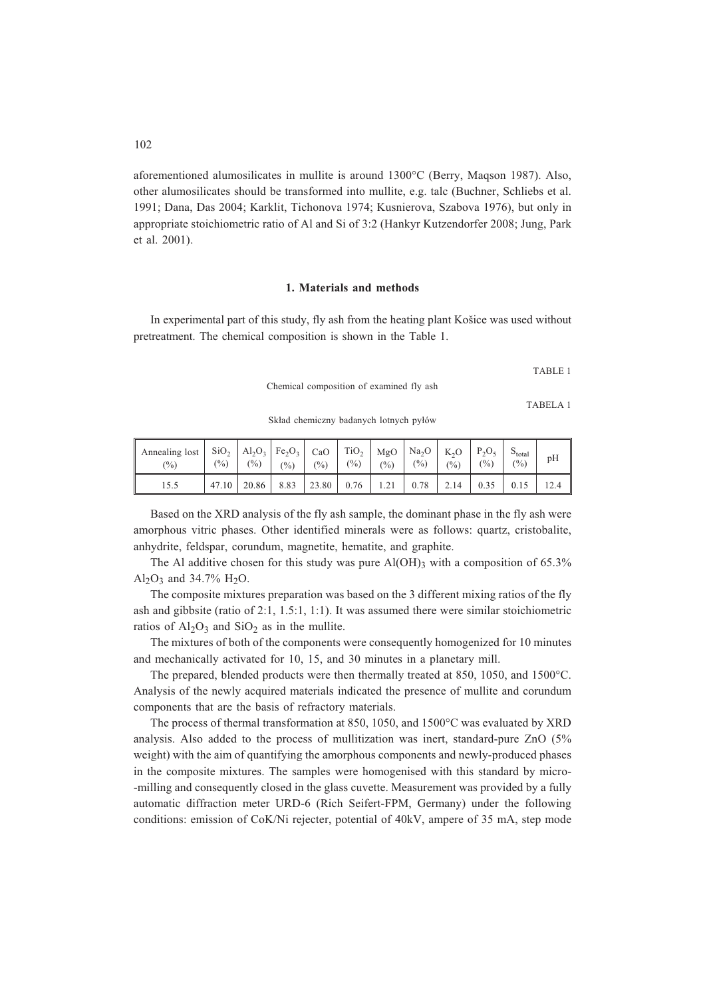aforementioned alumosilicates in mullite is around 1300°C (Berry, Maqson 1987). Also, other alumosilicates should be transformed into mullite, e.g. talc (Buchner, Schliebs et al. 1991; Dana, Das 2004; Karklit, Tichonova 1974; Kusnierova, Szabova 1976), but only in appropriate stoichiometric ratio of Al and Si of 3:2 (Hankyr Kutzendorfer 2008; Jung, Park et al. 2001).

### **1. Materials and methods**

In experimental part of this study, fly ash from the heating plant Košice was used without pretreatment. The chemical composition is shown in the Table 1.

TABLE 1

Chemical composition of examined fly ash

TABELA 1

Skład chemiczny badanych lotnych pyłów

| Annealing lost<br>$\frac{(0)}{0}$ | SiO <sub>2</sub><br>(0/0) | $\binom{0}{0}$ | $\vert$ Al <sub>2</sub> O <sub>3</sub> $\vert$ Fe <sub>2</sub> O <sub>3</sub> $\vert$<br>$(\%)$ | CaO<br>(0/0) | TiO <sub>2</sub><br>$(\%)$ | $(\%)$ | $MgO$   Na <sub>2</sub> O  <br>(%) | $K_2O$<br>$\frac{(0)}{0}$ | $P_2O_5$<br>$\frac{(0)}{0}$ | $5_{\text{total}}$<br>(9/0) | pH |
|-----------------------------------|---------------------------|----------------|-------------------------------------------------------------------------------------------------|--------------|----------------------------|--------|------------------------------------|---------------------------|-----------------------------|-----------------------------|----|
| 15.5                              | 47.10                     | 20.86          | 8.83                                                                                            | 23.80        | 0.76                       | 1.21   | 0.78                               | 2.14                      | 0.35                        | 0.15                        |    |

Based on the XRD analysis of the fly ash sample, the dominant phase in the fly ash were amorphous vitric phases. Other identified minerals were as follows: quartz, cristobalite, anhydrite, feldspar, corundum, magnetite, hematite, and graphite.

The Al additive chosen for this study was pure  $Al(OH)$ <sub>3</sub> with a composition of 65.3% Al<sub>2</sub>O<sub>3</sub> and  $34.7\%$  H<sub>2</sub>O<sub>3</sub>.

The composite mixtures preparation was based on the 3 different mixing ratios of the fly ash and gibbsite (ratio of 2:1, 1.5:1, 1:1). It was assumed there were similar stoichiometric ratios of  $Al_2O_3$  and  $SiO_2$  as in the mullite.

The mixtures of both of the components were consequently homogenized for 10 minutes and mechanically activated for 10, 15, and 30 minutes in a planetary mill.

The prepared, blended products were then thermally treated at 850, 1050, and 1500°C. Analysis of the newly acquired materials indicated the presence of mullite and corundum components that are the basis of refractory materials.

The process of thermal transformation at 850, 1050, and 1500°C was evaluated by XRD analysis. Also added to the process of mullitization was inert, standard-pure ZnO (5% weight) with the aim of quantifying the amorphous components and newly-produced phases in the composite mixtures. The samples were homogenised with this standard by micro- -milling and consequently closed in the glass cuvette. Measurement was provided by a fully automatic diffraction meter URD-6 (Rich Seifert-FPM, Germany) under the following conditions: emission of CoK/Ni rejecter, potential of 40kV, ampere of 35 mA, step mode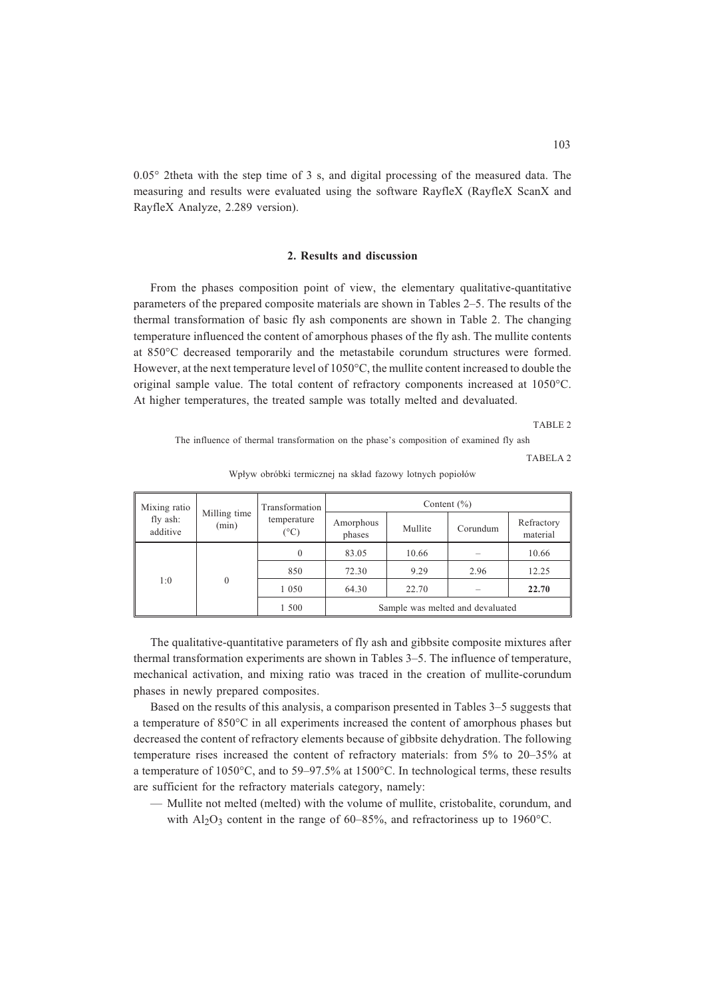0.05° 2theta with the step time of 3 s, and digital processing of the measured data. The measuring and results were evaluated using the software RayfleX (RayfleX ScanX and RayfleX Analyze, 2.289 version).

## **2. Results and discussion**

From the phases composition point of view, the elementary qualitative-quantitative parameters of the prepared composite materials are shown in Tables 2–5. The results of the thermal transformation of basic fly ash components are shown in Table 2. The changing temperature influenced the content of amorphous phases of the fly ash. The mullite contents at 850°C decreased temporarily and the metastabile corundum structures were formed. However, at the next temperature level of 1050°C, the mullite content increased to double the original sample value. The total content of refractory components increased at 1050°C. At higher temperatures, the treated sample was totally melted and devaluated.

TABLE 2

The influence of thermal transformation on the phase's composition of examined fly ash

TABELA 2

| Mixing ratio<br>fly ash:<br>additive | Milling time<br>(min) | Transformation<br>temperature<br>(°C) | Content $(\% )$     |                                  |          |                        |  |
|--------------------------------------|-----------------------|---------------------------------------|---------------------|----------------------------------|----------|------------------------|--|
|                                      |                       |                                       | Amorphous<br>phases | Mullite                          | Corundum | Refractory<br>material |  |
| 1:0                                  | $\theta$              | $\theta$                              | 83.05               | 10.66                            |          | 10.66                  |  |
|                                      |                       | 850                                   | 72.30               | 9.29                             | 2.96     | 12.25                  |  |
|                                      |                       | 1 0 5 0                               | 64.30               | 22.70                            |          | 22.70                  |  |
|                                      |                       | 1 500                                 |                     | Sample was melted and devaluated |          |                        |  |

Wpływ obróbki termicznej na skład fazowy lotnych popiołów

The qualitative-quantitative parameters of fly ash and gibbsite composite mixtures after thermal transformation experiments are shown in Tables 3–5. The influence of temperature, mechanical activation, and mixing ratio was traced in the creation of mullite-corundum phases in newly prepared composites.

Based on the results of this analysis, a comparison presented in Tables 3–5 suggests that a temperature of 850°C in all experiments increased the content of amorphous phases but decreased the content of refractory elements because of gibbsite dehydration. The following temperature rises increased the content of refractory materials: from 5% to 20–35% at a temperature of 1050°C, and to 59–97.5% at 1500°C. In technological terms, these results are sufficient for the refractory materials category, namely:

— Mullite not melted (melted) with the volume of mullite, cristobalite, corundum, and with  $Al_2O_3$  content in the range of 60–85%, and refractoriness up to 1960°C.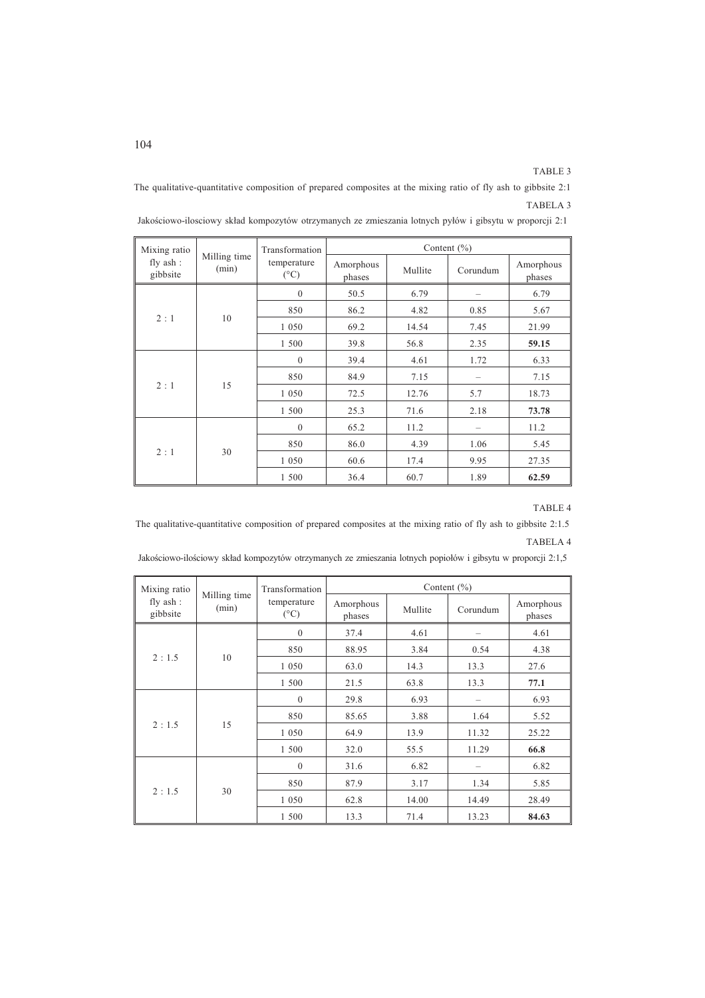TABLE 3

The qualitative-quantitative composition of prepared composites at the mixing ratio of fly ash to gibbsite 2:1 TABELA 3

| Mixing ratio           |                       | Transformation               | Content $(\% )$     |         |          |                     |  |  |
|------------------------|-----------------------|------------------------------|---------------------|---------|----------|---------------------|--|--|
| fly $ash:$<br>gibbsite | Milling time<br>(min) | temperature<br>$(^{\circ}C)$ | Amorphous<br>phases | Mullite | Corundum | Amorphous<br>phases |  |  |
|                        | 10                    | $\mathbf{0}$                 | 50.5                | 6.79    |          | 6.79                |  |  |
| 2:1                    |                       | 850                          | 86.2                | 4.82    | 0.85     | 5.67                |  |  |
|                        |                       | 1 0 5 0                      | 69.2                | 14.54   | 7.45     | 21.99               |  |  |
|                        |                       | 1 500                        | 39.8                | 56.8    | 2.35     | 59.15               |  |  |
|                        | 15                    | $\mathbf{0}$                 | 39.4                | 4.61    | 1.72     | 6.33                |  |  |
|                        |                       | 850                          | 84.9                | 7.15    | -        | 7.15                |  |  |
| 2:1                    |                       | 1 0 5 0                      | 72.5                | 12.76   | 5.7      | 18.73               |  |  |
|                        |                       | 1 500                        | 25.3                | 71.6    | 2.18     | 73.78               |  |  |
| 2:1                    | 30                    | $\mathbf{0}$                 | 65.2                | 11.2    |          | 11.2                |  |  |
|                        |                       | 850                          | 86.0                | 4.39    | 1.06     | 5.45                |  |  |
|                        |                       | 1 0 5 0                      | 60.6                | 17.4    | 9.95     | 27.35               |  |  |
|                        |                       | 1 500                        | 36.4                | 60.7    | 1.89     | 62.59               |  |  |

Jakościowo-ilosciowy skład kompozytów otrzymanych ze zmieszania lotnych pyłów i gibsytu w proporcji 2:1

## TABLE 4

The qualitative-quantitative composition of prepared composites at the mixing ratio of fly ash to gibbsite 2:1.5 TABELA 4

| Jakościowo-ilościowy skład kompozytów otrzymanych ze zmieszania lotnych popiołów i gibsytu w proporcji 2:1,5 |  |  |  |
|--------------------------------------------------------------------------------------------------------------|--|--|--|
|                                                                                                              |  |  |  |

| Mixing ratio         |                       | Transformation      | Content $(\% )$     |         |          |                     |  |  |
|----------------------|-----------------------|---------------------|---------------------|---------|----------|---------------------|--|--|
| fly ash:<br>gibbsite | Milling time<br>(min) | temperature<br>(°C) | Amorphous<br>phases | Mullite | Corundum | Amorphous<br>phases |  |  |
|                      | 10                    | $\boldsymbol{0}$    | 37.4                | 4.61    |          | 4.61                |  |  |
|                      |                       | 850                 | 88.95               | 3.84    | 0.54     | 4.38                |  |  |
| 2:1.5                |                       | 1 0 5 0             | 63.0                | 14.3    | 13.3     | 27.6                |  |  |
|                      |                       | 1 500               | 21.5                | 63.8    | 13.3     | 77.1                |  |  |
|                      | 15                    | $\mathbf{0}$        | 29.8                | 6.93    |          | 6.93                |  |  |
|                      |                       | 850                 | 85.65               | 3.88    | 1.64     | 5.52                |  |  |
| 2:1.5                |                       | 1 0 5 0             | 64.9                | 13.9    | 11.32    | 25.22               |  |  |
|                      |                       | 1 500               | 32.0                | 55.5    | 11.29    | 66.8                |  |  |
| 2:1.5                | 30                    | $\mathbf{0}$        | 31.6                | 6.82    |          | 6.82                |  |  |
|                      |                       | 850                 | 87.9                | 3.17    | 1.34     | 5.85                |  |  |
|                      |                       | 1 0 5 0             | 62.8                | 14.00   | 14.49    | 28.49               |  |  |
|                      |                       | 1 500               | 13.3                | 71.4    | 13.23    | 84.63               |  |  |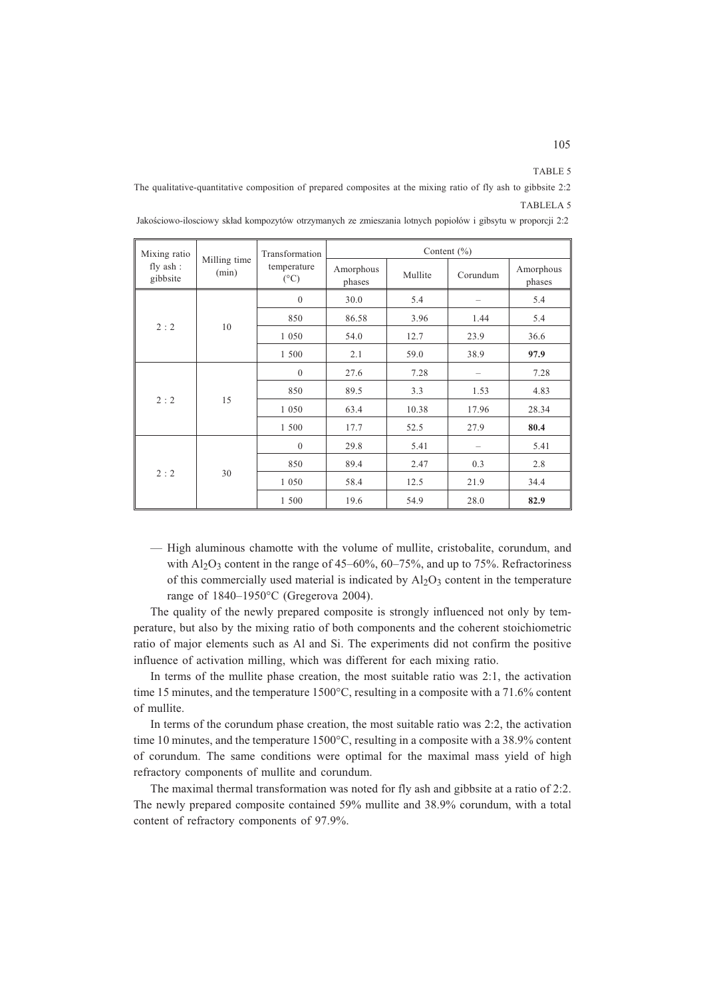TABLE 5

The qualitative-quantitative composition of prepared composites at the mixing ratio of fly ash to gibbsite 2:2 TABLELA 5

| Mixing ratio<br>fly ash:<br>gibbsite |                       | Transformation               | Content $(\% )$     |         |          |                     |  |  |
|--------------------------------------|-----------------------|------------------------------|---------------------|---------|----------|---------------------|--|--|
|                                      | Milling time<br>(min) | temperature<br>$(^{\circ}C)$ | Amorphous<br>phases | Mullite | Corundum | Amorphous<br>phases |  |  |
|                                      |                       | $\mathbf{0}$                 | 30.0                | 5.4     |          | 5.4                 |  |  |
|                                      | 10                    | 850                          | 86.58               | 3.96    | 1.44     | 5.4                 |  |  |
| 2:2                                  |                       | 1 0 5 0                      | 54.0                | 12.7    | 23.9     | 36.6                |  |  |
|                                      |                       | 1 500                        | 2.1                 | 59.0    | 38.9     | 97.9                |  |  |
|                                      | 15                    | $\mathbf{0}$                 | 27.6                | 7.28    |          | 7.28                |  |  |
|                                      |                       | 850                          | 89.5                | 3.3     | 1.53     | 4.83                |  |  |
| 2:2                                  |                       | 1 0 5 0                      | 63.4                | 10.38   | 17.96    | 28.34               |  |  |
|                                      |                       | 1 500                        | 17.7                | 52.5    | 27.9     | 80.4                |  |  |
| 2:2                                  | 30                    | $\mathbf{0}$                 | 29.8                | 5.41    |          | 5.41                |  |  |
|                                      |                       | 850                          | 89.4                | 2.47    | 0.3      | 2.8                 |  |  |
|                                      |                       | 1 0 5 0                      | 58.4                | 12.5    | 21.9     | 34.4                |  |  |
|                                      |                       | 1 500                        | 19.6                | 54.9    | 28.0     | 82.9                |  |  |

Jakościowo-ilosciowy skład kompozytów otrzymanych ze zmieszania lotnych popiołów i gibsytu w proporcji 2:2

— High aluminous chamotte with the volume of mullite, cristobalite, corundum, and with  $A<sub>12</sub>O<sub>3</sub>$  content in the range of 45–60%, 60–75%, and up to 75%. Refractoriness of this commercially used material is indicated by  $A1_2O_3$  content in the temperature range of 1840–1950°C (Gregerova 2004).

The quality of the newly prepared composite is strongly influenced not only by temperature, but also by the mixing ratio of both components and the coherent stoichiometric ratio of major elements such as Al and Si. The experiments did not confirm the positive influence of activation milling, which was different for each mixing ratio.

In terms of the mullite phase creation, the most suitable ratio was 2:1, the activation time 15 minutes, and the temperature 1500°C, resulting in a composite with a 71.6% content of mullite.

In terms of the corundum phase creation, the most suitable ratio was 2:2, the activation time 10 minutes, and the temperature 1500°C, resulting in a composite with a 38.9% content of corundum. The same conditions were optimal for the maximal mass yield of high refractory components of mullite and corundum.

The maximal thermal transformation was noted for fly ash and gibbsite at a ratio of 2:2. The newly prepared composite contained 59% mullite and 38.9% corundum, with a total content of refractory components of 97.9%.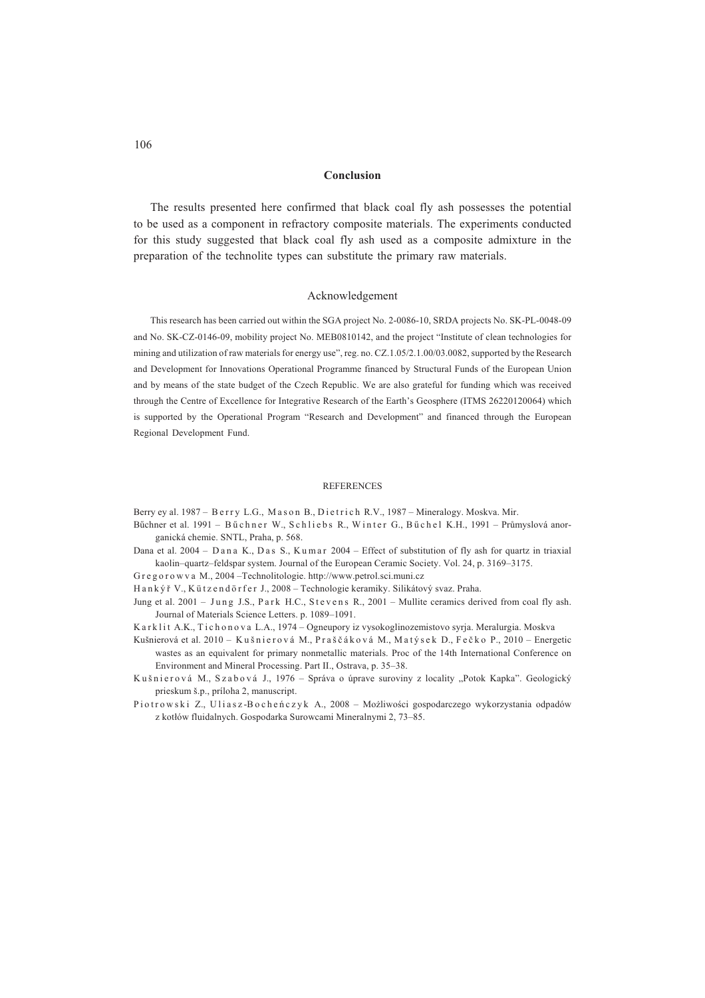#### **Conclusion**

The results presented here confirmed that black coal fly ash possesses the potential to be used as a component in refractory composite materials. The experiments conducted for this study suggested that black coal fly ash used as a composite admixture in the preparation of the technolite types can substitute the primary raw materials.

#### Acknowledgement

This research has been carried out within the SGA project No. 2-0086-10, SRDA projects No. SK-PL-0048-09 and No. SK-CZ-0146-09, mobility project No. MEB0810142, and the project "Institute of clean technologies for mining and utilization of raw materials for energy use", reg. no. CZ.1.05/2.1.00/03.0082, supported by the Research and Development for Innovations Operational Programme financed by Structural Funds of the European Union and by means of the state budget of the Czech Republic. We are also grateful for funding which was received through the Centre of Excellence for Integrative Research of the Earth's Geosphere (ITMS 26220120064) which is supported by the Operational Program "Research and Development" and financed through the European Regional Development Fund.

#### REFERENCES

Berry ey al. 1987 – Berry L.G., Mason B., Dietrich R.V., 1987 – Mineralogy. Moskva. Mir.

- Büchner et al. 1991 Büchner W., Schliebs R., Winter G., Büchel K.H., 1991 Průmyslová anorganická chemie. SNTL, Praha, p. 568.
- Dana et al. 2004 Dana K., Das S., Kumar 2004 Effect of substitution of fly ash for quartz in triaxial kaolin–quartz–feldspar system. Journal of the European Ceramic Society. Vol. 24, p. 3169–3175.

G r e g o r o w v a M., 2004 –Technolitologie. http://www.petrol.sci.muni.cz

Han kýř V., Kützendörfer J., 2008 – Technologie keramiky. Silikátový svaz. Praha.

Jung et al. 2001 – Jung J.S., Park H.C., Stevens R., 2001 – Mullite ceramics derived from coal fly ash. Journal of Materials Science Letters. p. 1089–1091.

K a r k l i t A.K., T i c h o n o v a L.A., 1974 – Ogneupory iz vysokoglinozemistovo syrja. Meralurgia. Moskva

- Kušnierová et al. 2010 Kušnierová M., Praščáková M., Matýsek D., Fečko P., 2010 Energetic wastes as an equivalent for primary nonmetallic materials. Proc of the 14th International Conference on Environment and Mineral Processing. Part II., Ostrava, p. 35–38.
- Kušnierová M., Szabová J., 1976 Správa o úprave suroviny z locality "Potok Kapka". Geologický prieskum š.p., príloha 2, manuscript.
- Piotrowski Z., Uliasz-Bocheńczyk A., 2008 Możliwości gospodarczego wykorzystania odpadów z kotłów fluidalnych. Gospodarka Surowcami Mineralnymi 2, 73-85.